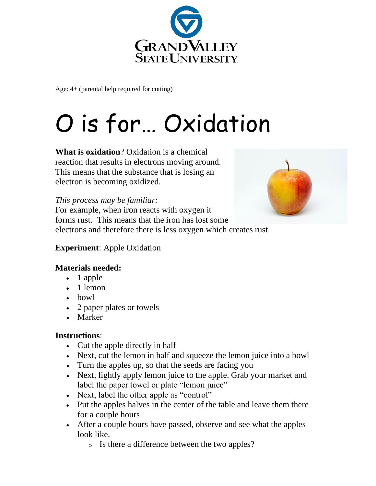

Age: 4+ (parental help required for cutting)

# O is for… Oxidation

**What is oxidation**? Oxidation is a chemical reaction that results in electrons moving around. This means that the substance that is losing an electron is becoming oxidized.

#### *This process may be familiar:*

For example, when iron reacts with oxygen it forms rust. This means that the iron has lost some electrons and therefore there is less oxygen which creates rust.



#### **Experiment**: Apple Oxidation

### **Materials needed:**

- 1 apple
- 1 lemon
- bowl
- 2 paper plates or towels
- Marker

### **Instructions**:

- Cut the apple directly in half
- Next, cut the lemon in half and squeeze the lemon juice into a bowl
- Turn the apples up, so that the seeds are facing you
- Next, lightly apply lemon juice to the apple. Grab your market and label the paper towel or plate "lemon juice"
- Next, label the other apple as "control"
- Put the apples halves in the center of the table and leave them there for a couple hours
- After a couple hours have passed, observe and see what the apples look like.
	- o Is there a difference between the two apples?